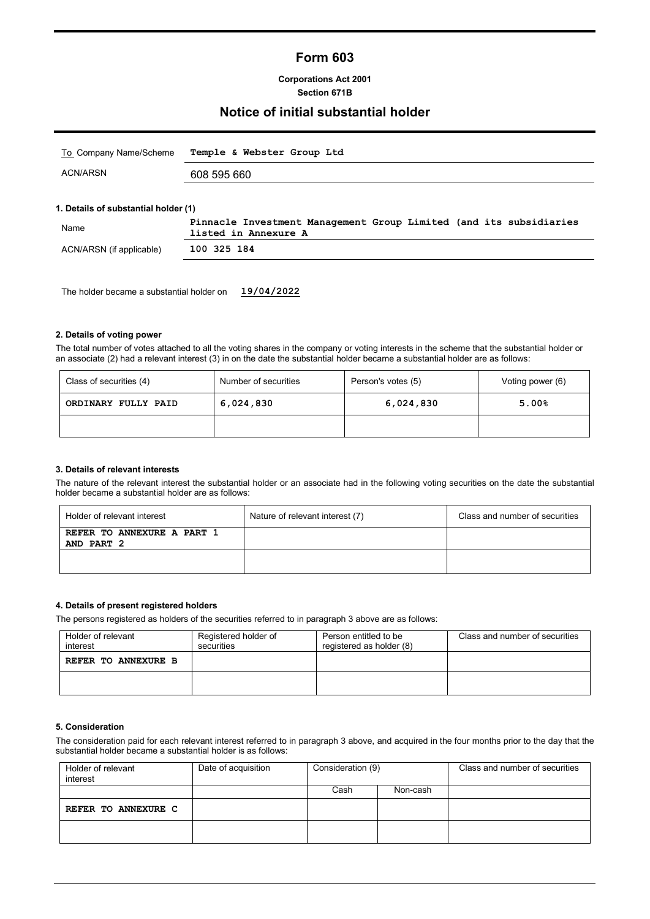# **Form 603**

**Corporations Act 2001 Section 671B**

### **Notice of initial substantial holder**

| <u>To</u> _Company Name/Scheme | Temple & Webster Group Ltd |  |
|--------------------------------|----------------------------|--|
| ACN/ARSN                       | 608 595 660                |  |
|                                |                            |  |

#### **1. Details of substantial holder (1)**

| Name                     | Pinnacle Investment Management Group Limited (and its subsidiaries<br>listed in Annexure A |
|--------------------------|--------------------------------------------------------------------------------------------|
| ACN/ARSN (if applicable) | 100 325 184                                                                                |

The holder became a substantial holder on **19/04/2022**

#### **2. Details of voting power**

The total number of votes attached to all the voting shares in the company or voting interests in the scheme that the substantial holder or an associate (2) had a relevant interest (3) in on the date the substantial holder became a substantial holder are as follows:

| Class of securities (4) | Number of securities | Person's votes (5) | Voting power (6) |  |
|-------------------------|----------------------|--------------------|------------------|--|
| ORDINARY FULLY PAID     | 6,024,830            | 6,024,830          | 5.00%            |  |
|                         |                      |                    |                  |  |

#### **3. Details of relevant interests**

The nature of the relevant interest the substantial holder or an associate had in the following voting securities on the date the substantial holder became a substantial holder are as follows:

| Holder of relevant interest              | Nature of relevant interest (7) | Class and number of securities |
|------------------------------------------|---------------------------------|--------------------------------|
| REFER TO ANNEXURE A PART 1<br>AND PART 2 |                                 |                                |
|                                          |                                 |                                |

#### **4. Details of present registered holders**

The persons registered as holders of the securities referred to in paragraph 3 above are as follows:

| Holder of relevant<br>interest | Registered holder of<br>securities | Person entitled to be<br>registered as holder (8) | Class and number of securities |  |
|--------------------------------|------------------------------------|---------------------------------------------------|--------------------------------|--|
| REFER TO ANNEXURE B            |                                    |                                                   |                                |  |
|                                |                                    |                                                   |                                |  |

#### **5. Consideration**

The consideration paid for each relevant interest referred to in paragraph 3 above, and acquired in the four months prior to the day that the substantial holder became a substantial holder is as follows:

| Holder of relevant<br>interest | Date of acquisition | Consideration (9) |          | Class and number of securities |
|--------------------------------|---------------------|-------------------|----------|--------------------------------|
|                                |                     | Cash              | Non-cash |                                |
| REFER TO ANNEXURE C            |                     |                   |          |                                |
|                                |                     |                   |          |                                |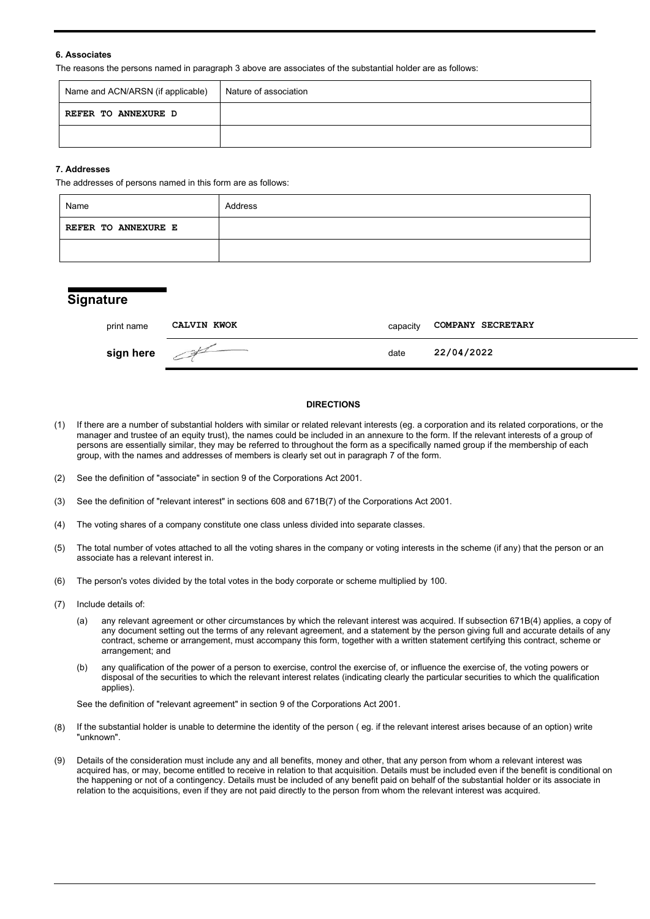#### **6. Associates**

The reasons the persons named in paragraph 3 above are associates of the substantial holder are as follows:

| Name and ACN/ARSN (if applicable) | Nature of association |
|-----------------------------------|-----------------------|
| REFER TO ANNEXURE D               |                       |
|                                   |                       |

#### **7. Addresses**

The addresses of persons named in this form are as follows:

| Name                       | Address |
|----------------------------|---------|
| <b>REFER TO ANNEXURE E</b> |         |
|                            |         |

### **Signature**

| print name             | <b>CALVIN KWOK</b> | capacity | <b>COMPANY SECRETARY</b> |
|------------------------|--------------------|----------|--------------------------|
| sign here $\mathbb{Z}$ |                    | date     | 22/04/2022               |

#### **DIRECTIONS**

- (1) If there are a number of substantial holders with similar or related relevant interests (eg. a corporation and its related corporations, or the manager and trustee of an equity trust), the names could be included in an annexure to the form. If the relevant interests of a group of persons are essentially similar, they may be referred to throughout the form as a specifically named group if the membership of each group, with the names and addresses of members is clearly set out in paragraph 7 of the form.
- (2) See the definition of "associate" in section 9 of the Corporations Act 2001.
- (3) See the definition of "relevant interest" in sections 608 and 671B(7) of the Corporations Act 2001.
- (4) The voting shares of a company constitute one class unless divided into separate classes.
- (5) The total number of votes attached to all the voting shares in the company or voting interests in the scheme (if any) that the person or an associate has a relevant interest in.
- (6) The person's votes divided by the total votes in the body corporate or scheme multiplied by 100.
- (7) Include details of:
	- (a) any relevant agreement or other circumstances by which the relevant interest was acquired. If subsection 671B(4) applies, a copy of any document setting out the terms of any relevant agreement, and a statement by the person giving full and accurate details of any contract, scheme or arrangement, must accompany this form, together with a written statement certifying this contract, scheme or arrangement; and
	- (b) any qualification of the power of a person to exercise, control the exercise of, or influence the exercise of, the voting powers or disposal of the securities to which the relevant interest relates (indicating clearly the particular securities to which the qualification applies).

See the definition of "relevant agreement" in section 9 of the Corporations Act 2001.

- (8) If the substantial holder is unable to determine the identity of the person ( eg. if the relevant interest arises because of an option) write "unknown".
- (9) Details of the consideration must include any and all benefits, money and other, that any person from whom a relevant interest was acquired has, or may, become entitled to receive in relation to that acquisition. Details must be included even if the benefit is conditional on the happening or not of a contingency. Details must be included of any benefit paid on behalf of the substantial holder or its associate in relation to the acquisitions, even if they are not paid directly to the person from whom the relevant interest was acquired.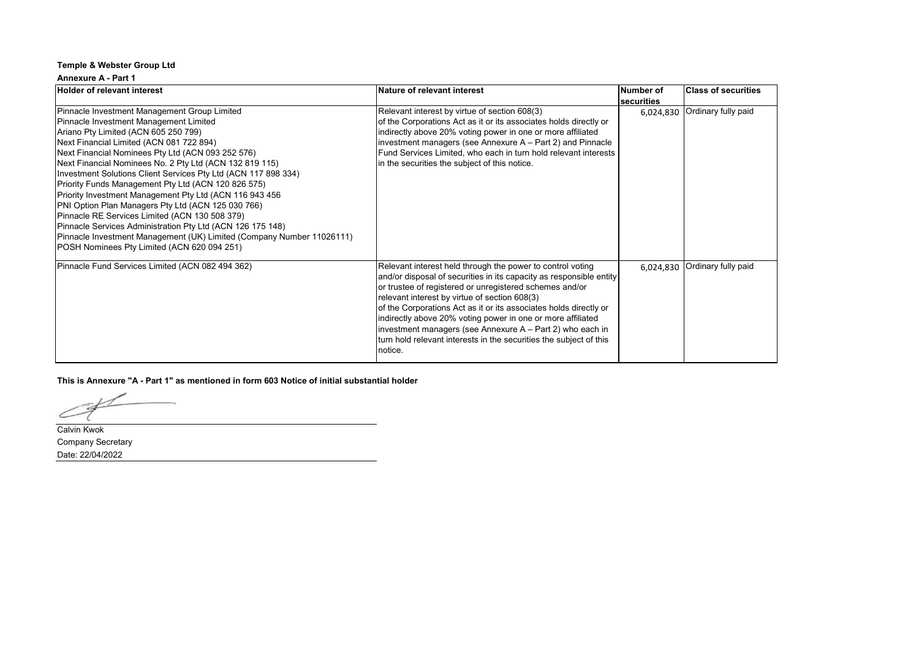#### **Annexure A - Part 1**

| Holder of relevant interest                                                                                                                                                                                                                                                                                                                                                                                                                                                                                                                                                                                                                                                                                                                                                  | Nature of relevant interest                                                                                                                                                                                                                                                                                                                                                                                                                                                                                                     | Number of  | <b>Class of securities</b> |
|------------------------------------------------------------------------------------------------------------------------------------------------------------------------------------------------------------------------------------------------------------------------------------------------------------------------------------------------------------------------------------------------------------------------------------------------------------------------------------------------------------------------------------------------------------------------------------------------------------------------------------------------------------------------------------------------------------------------------------------------------------------------------|---------------------------------------------------------------------------------------------------------------------------------------------------------------------------------------------------------------------------------------------------------------------------------------------------------------------------------------------------------------------------------------------------------------------------------------------------------------------------------------------------------------------------------|------------|----------------------------|
|                                                                                                                                                                                                                                                                                                                                                                                                                                                                                                                                                                                                                                                                                                                                                                              |                                                                                                                                                                                                                                                                                                                                                                                                                                                                                                                                 | securities |                            |
| Pinnacle Investment Management Group Limited<br>Pinnacle Investment Management Limited<br>Ariano Pty Limited (ACN 605 250 799)<br>Next Financial Limited (ACN 081 722 894)<br>Next Financial Nominees Pty Ltd (ACN 093 252 576)<br>Next Financial Nominees No. 2 Pty Ltd (ACN 132 819 115)<br>Investment Solutions Client Services Pty Ltd (ACN 117 898 334)<br>Priority Funds Management Pty Ltd (ACN 120 826 575)<br>Priority Investment Management Pty Ltd (ACN 116 943 456<br>PNI Option Plan Managers Pty Ltd (ACN 125 030 766)<br>Pinnacle RE Services Limited (ACN 130 508 379)<br>Pinnacle Services Administration Pty Ltd (ACN 126 175 148)<br>Pinnacle Investment Management (UK) Limited (Company Number 11026111)<br>POSH Nominees Pty Limited (ACN 620 094 251) | Relevant interest by virtue of section 608(3)<br>of the Corporations Act as it or its associates holds directly or<br>indirectly above 20% voting power in one or more affiliated<br>investment managers (see Annexure A - Part 2) and Pinnacle<br>Fund Services Limited, who each in turn hold relevant interests<br>in the securities the subject of this notice.                                                                                                                                                             | 6,024,830  | Ordinary fully paid        |
| Pinnacle Fund Services Limited (ACN 082 494 362)                                                                                                                                                                                                                                                                                                                                                                                                                                                                                                                                                                                                                                                                                                                             | Relevant interest held through the power to control voting<br>and/or disposal of securities in its capacity as responsible entity<br>or trustee of registered or unregistered schemes and/or<br>relevant interest by virtue of section 608(3)<br>of the Corporations Act as it or its associates holds directly or<br>indirectly above 20% voting power in one or more affiliated<br>investment managers (see Annexure A - Part 2) who each in<br>turn hold relevant interests in the securities the subject of this<br>notice. | 6,024,830  | Ordinary fully paid        |

**This is Annexure "A - Part 1" as mentioned in form 603 Notice of initial substantial holder**

∠

Calvin Kwok Company Secretary Date: 22/04/2022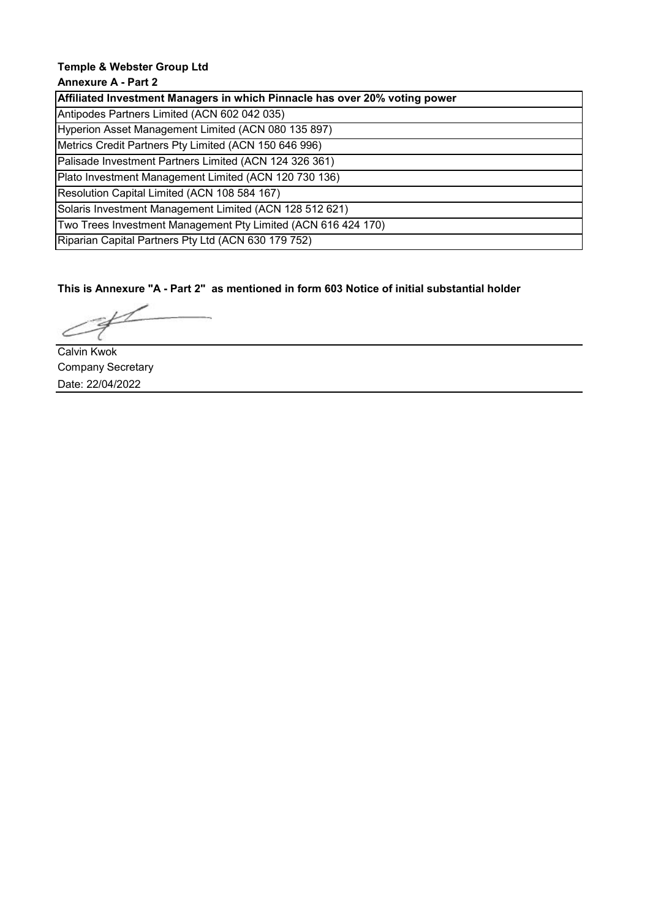# **Annexure A - Part 2**

| Affiliated Investment Managers in which Pinnacle has over 20% voting power |
|----------------------------------------------------------------------------|
| Antipodes Partners Limited (ACN 602 042 035)                               |
| Hyperion Asset Management Limited (ACN 080 135 897)                        |
| Metrics Credit Partners Pty Limited (ACN 150 646 996)                      |
| Palisade Investment Partners Limited (ACN 124 326 361)                     |
| Plato Investment Management Limited (ACN 120 730 136)                      |
| Resolution Capital Limited (ACN 108 584 167)                               |
| Solaris Investment Management Limited (ACN 128 512 621)                    |
| Two Trees Investment Management Pty Limited (ACN 616 424 170)              |
| Riparian Capital Partners Pty Ltd (ACN 630 179 752)                        |

**This is Annexure "A - Part 2" as mentioned in form 603 Notice of initial substantial holder**

Calvin Kwok Company Secretary Date: 22/04/2022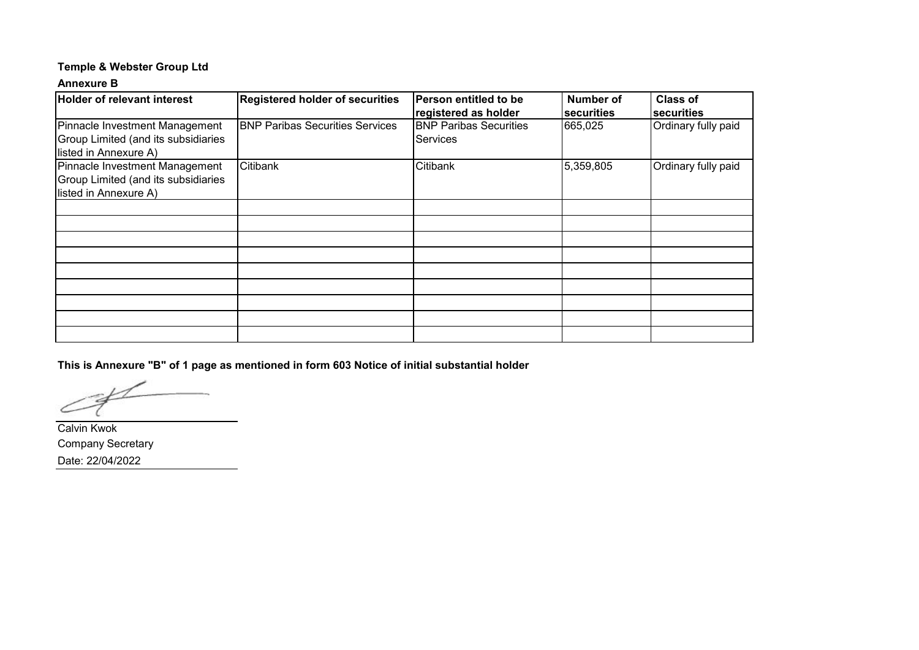### **Annexure B**

| <b>Holder of relevant interest</b>         | <b>Registered holder of securities</b> | Person entitled to be         | Number of  | <b>Class of</b>     |
|--------------------------------------------|----------------------------------------|-------------------------------|------------|---------------------|
|                                            |                                        | registered as holder          | securities | Isecurities         |
| Pinnacle Investment Management             | <b>BNP Paribas Securities Services</b> | <b>BNP Paribas Securities</b> | 665,025    | Ordinary fully paid |
| <b>Group Limited (and its subsidiaries</b> |                                        | <b>Services</b>               |            |                     |
| listed in Annexure A)                      |                                        |                               |            |                     |
| Pinnacle Investment Management             | Citibank                               | Citibank                      | 5,359,805  | Ordinary fully paid |
| <b>Group Limited (and its subsidiaries</b> |                                        |                               |            |                     |
| listed in Annexure A)                      |                                        |                               |            |                     |
|                                            |                                        |                               |            |                     |
|                                            |                                        |                               |            |                     |
|                                            |                                        |                               |            |                     |
|                                            |                                        |                               |            |                     |
|                                            |                                        |                               |            |                     |
|                                            |                                        |                               |            |                     |
|                                            |                                        |                               |            |                     |
|                                            |                                        |                               |            |                     |
|                                            |                                        |                               |            |                     |

**This is Annexure "B" of 1 page as mentioned in form 603 Notice of initial substantial holder**

Calvin Kwok Company Secretary Date: 22/04/2022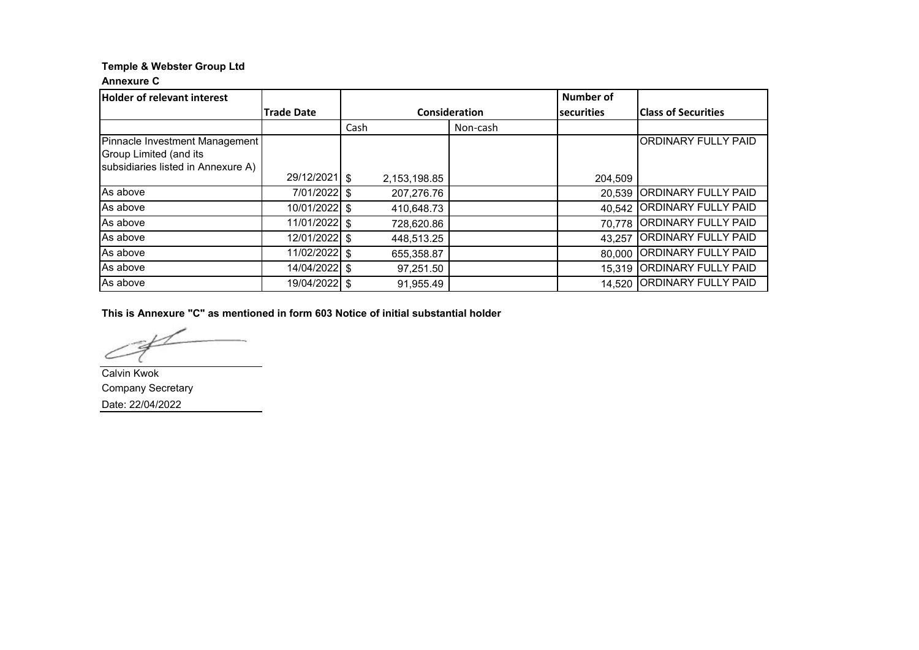### **Annexure C**

| <b>Holder of relevant interest</b>                                                             |                   |               |          | <b>Number of</b>  |                            |
|------------------------------------------------------------------------------------------------|-------------------|---------------|----------|-------------------|----------------------------|
|                                                                                                | <b>Trade Date</b> | Consideration |          | <b>securities</b> | <b>Class of Securities</b> |
|                                                                                                |                   | Cash          | Non-cash |                   |                            |
| Pinnacle Investment Management<br>Group Limited (and its<br>subsidiaries listed in Annexure A) |                   |               |          |                   | <b>ORDINARY FULLY PAID</b> |
|                                                                                                | 29/12/2021 \$     | 2,153,198.85  |          | 204,509           |                            |
| As above                                                                                       | 7/01/2022 \$      | 207,276.76    |          | 20,539            | <b>ORDINARY FULLY PAID</b> |
| As above                                                                                       | 10/01/2022 \$     | 410,648.73    |          | 40,542            | <b>ORDINARY FULLY PAID</b> |
| As above                                                                                       | 11/01/2022 \$     | 728,620.86    |          | 70,778            | <b>ORDINARY FULLY PAID</b> |
| As above                                                                                       | 12/01/2022 \$     | 448,513.25    |          | 43,257            | <b>ORDINARY FULLY PAID</b> |
| As above                                                                                       | 11/02/2022 \$     | 655,358.87    |          | 80,000            | <b>ORDINARY FULLY PAID</b> |
| As above                                                                                       | 14/04/2022 \$     | 97,251.50     |          | 15,319            | <b>ORDINARY FULLY PAID</b> |
| As above                                                                                       | 19/04/2022 \$     | 91,955.49     |          | 14,520            | <b>ORDINARY FULLY PAID</b> |

**This is Annexure "C" as mentioned in form 603 Notice of initial substantial holder**

Calvin Kwok Company Secretary Date: 22/04/2022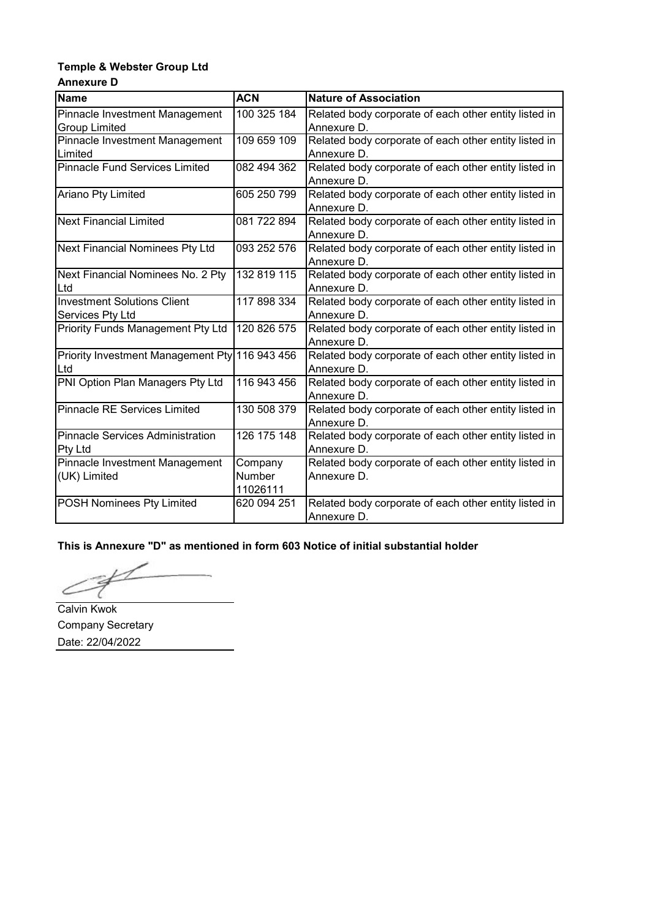# **Temple & Webster Group Ltd Annexure D**

| <b>Name</b>                                            | <b>ACN</b>                    | <b>Nature of Association</b>                                         |  |
|--------------------------------------------------------|-------------------------------|----------------------------------------------------------------------|--|
| Pinnacle Investment Management<br><b>Group Limited</b> | 100 325 184                   | Related body corporate of each other entity listed in<br>Annexure D. |  |
| Pinnacle Investment Management<br>Limited              | 109 659 109                   | Related body corporate of each other entity listed in<br>Annexure D. |  |
| <b>Pinnacle Fund Services Limited</b>                  | 082 494 362                   | Related body corporate of each other entity listed in<br>Annexure D. |  |
| Ariano Pty Limited                                     | 605 250 799                   | Related body corporate of each other entity listed in<br>Annexure D. |  |
| <b>Next Financial Limited</b>                          | 081 722 894                   | Related body corporate of each other entity listed in<br>Annexure D. |  |
| Next Financial Nominees Pty Ltd                        | 093 252 576                   | Related body corporate of each other entity listed in<br>Annexure D. |  |
| Next Financial Nominees No. 2 Pty<br>Ltd               | 132 819 115                   | Related body corporate of each other entity listed in<br>Annexure D. |  |
| <b>Investment Solutions Client</b><br>Services Pty Ltd | 117 898 334                   | Related body corporate of each other entity listed in<br>Annexure D. |  |
| Priority Funds Management Pty Ltd                      | 120 826 575                   | Related body corporate of each other entity listed in<br>Annexure D. |  |
| Priority Investment Management Pty 116 943 456<br>Ltd  |                               | Related body corporate of each other entity listed in<br>Annexure D. |  |
| PNI Option Plan Managers Pty Ltd                       | 116 943 456                   | Related body corporate of each other entity listed in<br>Annexure D. |  |
| <b>Pinnacle RE Services Limited</b>                    | 130 508 379                   | Related body corporate of each other entity listed in<br>Annexure D. |  |
| <b>Pinnacle Services Administration</b><br>Pty Ltd     | 126 175 148                   | Related body corporate of each other entity listed in<br>Annexure D. |  |
| Pinnacle Investment Management<br>(UK) Limited         | Company<br>Number<br>11026111 | Related body corporate of each other entity listed in<br>Annexure D. |  |
| POSH Nominees Pty Limited                              | 620 094 251                   | Related body corporate of each other entity listed in<br>Annexure D. |  |

**This is Annexure "D" as mentioned in form 603 Notice of initial substantial holder**

L Ć

Calvin Kwok Company Secretary Date: 22/04/2022